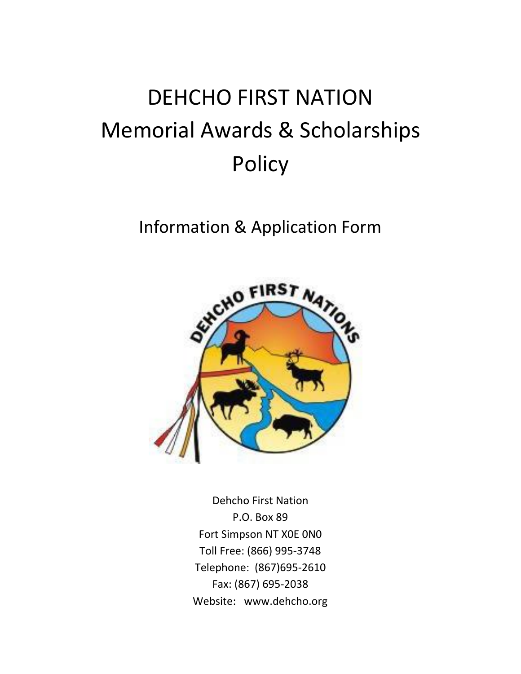# DEHCHO FIRST NATION Memorial Awards & Scholarships Policy

## Information & Application Form



Dehcho First Nation P.O. Box 89 Fort Simpson NT X0E 0N0 Toll Free: (866) 995-3748 Telephone: (867)695-2610 Fax: (867) 695-2038 Website: [www.dehcho.org](http://www.dehcho.org/)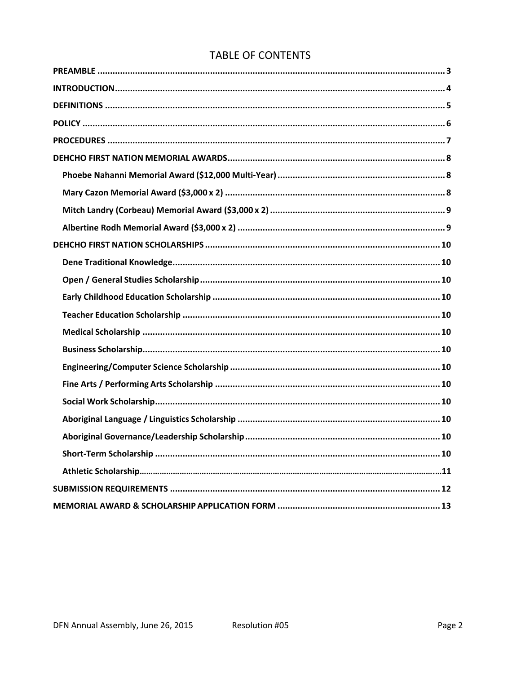## **TABLE OF CONTENTS**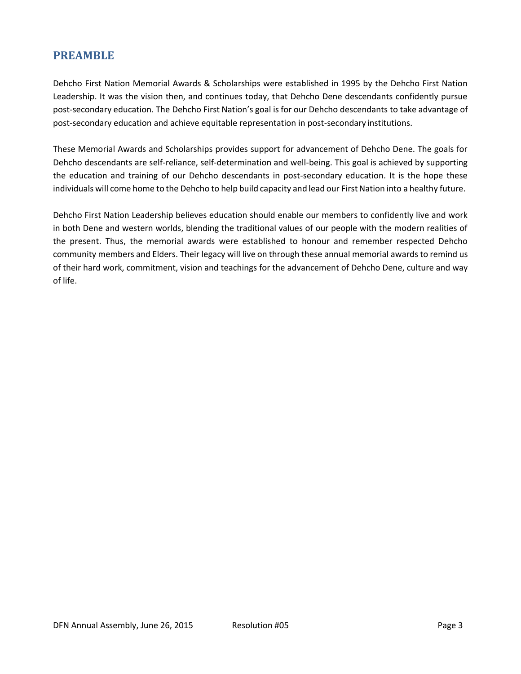## <span id="page-2-0"></span>**PREAMBLE**

Dehcho First Nation Memorial Awards & Scholarships were established in 1995 by the Dehcho First Nation Leadership. It was the vision then, and continues today, that Dehcho Dene descendants confidently pursue post-secondary education. The Dehcho First Nation's goal is for our Dehcho descendants to take advantage of post-secondary education and achieve equitable representation in post-secondary institutions.

These Memorial Awards and Scholarships provides support for advancement of Dehcho Dene. The goals for Dehcho descendants are self-reliance, self-determination and well-being. This goal is achieved by supporting the education and training of our Dehcho descendants in post-secondary education. It is the hope these individuals will come home to the Dehcho to help build capacity and lead our First Nation into a healthy future.

Dehcho First Nation Leadership believes education should enable our members to confidently live and work in both Dene and western worlds, blending the traditional values of our people with the modern realities of the present. Thus, the memorial awards were established to honour and remember respected Dehcho community members and Elders. Their legacy will live on through these annual memorial awards to remind us of their hard work, commitment, vision and teachings for the advancement of Dehcho Dene, culture and way of life.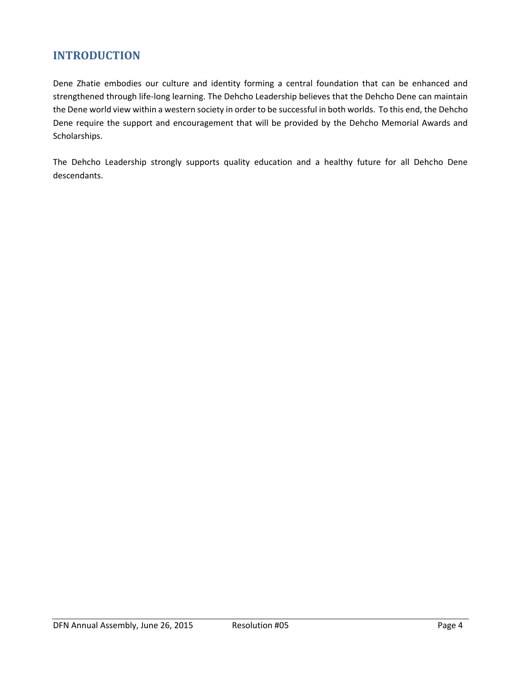## <span id="page-3-0"></span>**INTRODUCTION**

Dene Zhatie embodies our culture and identity forming a central foundation that can be enhanced and strengthened through life-long learning. The Dehcho Leadership believes that the Dehcho Dene can maintain the Dene world view within a western society in order to be successful in both worlds. To this end, the Dehcho Dene require the support and encouragement that will be provided by the Dehcho Memorial Awards and Scholarships.

The Dehcho Leadership strongly supports quality education and a healthy future for all Dehcho Dene descendants.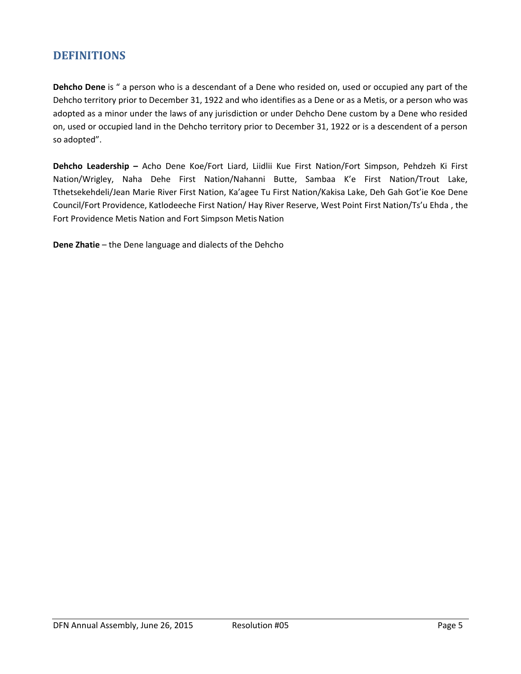## <span id="page-4-0"></span>**DEFINITIONS**

**Dehcho Dene** is " a person who is a descendant of a Dene who resided on, used or occupied any part of the Dehcho territory prior to December 31, 1922 and who identifies as a Dene or as a Metis, or a person who was adopted as a minor under the laws of any jurisdiction or under Dehcho Dene custom by a Dene who resided on, used or occupied land in the Dehcho territory prior to December 31, 1922 or is a descendent of a person so adopted".

**Dehcho Leadership –** Acho Dene Koe/Fort Liard, Liidlii Kue First Nation/Fort Simpson, Pehdzeh Ki First Nation/Wrigley, Naha Dehe First Nation/Nahanni Butte, Sambaa K'e First Nation/Trout Lake, Tthetsekehdeli/Jean Marie River First Nation, Ka'agee Tu First Nation/Kakisa Lake, Deh Gah Got'ie Koe Dene Council/Fort Providence, Katlodeeche First Nation/ Hay River Reserve, West Point First Nation/Ts'u Ehda , the Fort Providence Metis Nation and Fort Simpson Metis Nation

**Dene Zhatie** – the Dene language and dialects of the Dehcho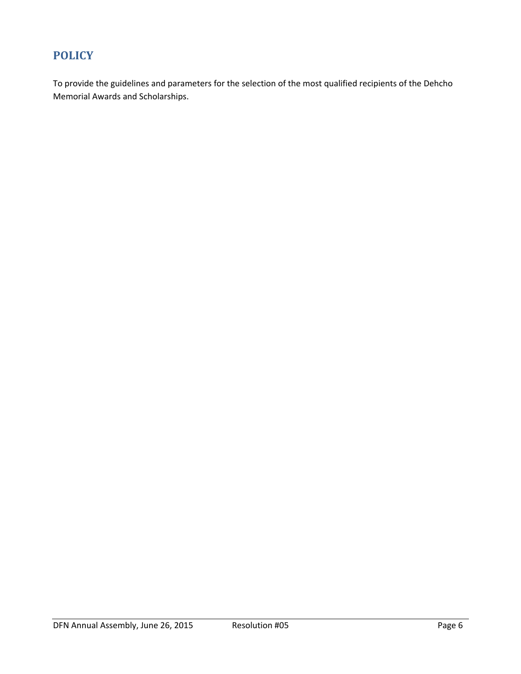## <span id="page-5-0"></span>**POLICY**

To provide the guidelines and parameters for the selection of the most qualified recipients of the Dehcho Memorial Awards and Scholarships.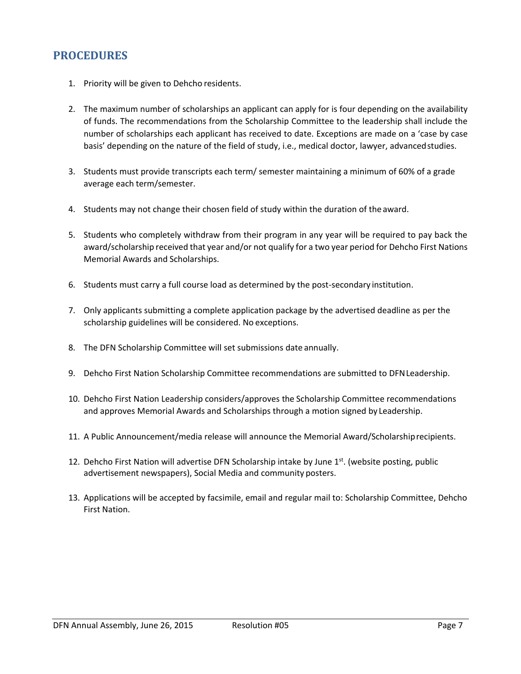## <span id="page-6-0"></span>**PROCEDURES**

- 1. Priority will be given to Dehcho residents.
- 2. The maximum number of scholarships an applicant can apply for is four depending on the availability of funds. The recommendations from the Scholarship Committee to the leadership shall include the number of scholarships each applicant has received to date. Exceptions are made on a 'case by case basis' depending on the nature of the field of study, i.e., medical doctor, lawyer, advancedstudies.
- 3. Students must provide transcripts each term/ semester maintaining a minimum of 60% of a grade average each term/semester.
- 4. Students may not change their chosen field of study within the duration of the award.
- 5. Students who completely withdraw from their program in any year will be required to pay back the award/scholarship received that year and/or not qualify for a two year period for Dehcho First Nations Memorial Awards and Scholarships.
- 6. Students must carry a full course load as determined by the post-secondary institution.
- 7. Only applicants submitting a complete application package by the advertised deadline as per the scholarship guidelines will be considered. No exceptions.
- 8. The DFN Scholarship Committee will set submissions date annually.
- 9. Dehcho First Nation Scholarship Committee recommendations are submitted to DFNLeadership.
- 10. Dehcho First Nation Leadership considers/approves the Scholarship Committee recommendations and approves Memorial Awards and Scholarships through a motion signed by Leadership.
- 11. A Public Announcement/media release will announce the Memorial Award/Scholarshiprecipients.
- 12. Dehcho First Nation will advertise DFN Scholarship intake by June 1st. (website posting, public advertisement newspapers), Social Media and community posters.
- 13. Applications will be accepted by facsimile, email and regular mail to: Scholarship Committee, Dehcho First Nation.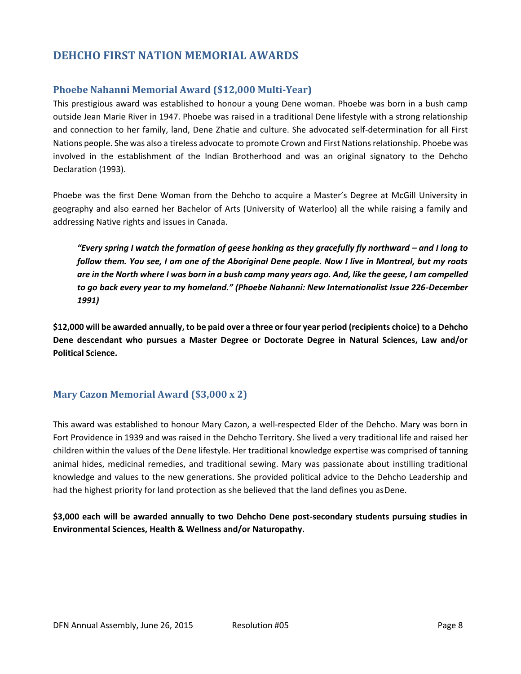## <span id="page-7-0"></span>**DEHCHO FIRST NATION MEMORIAL AWARDS**

#### <span id="page-7-1"></span>**Phoebe Nahanni Memorial Award (\$12,000 Multi-Year)**

This prestigious award was established to honour a young Dene woman. Phoebe was born in a bush camp outside Jean Marie River in 1947. Phoebe was raised in a traditional Dene lifestyle with a strong relationship and connection to her family, land, Dene Zhatie and culture. She advocated self-determination for all First Nations people. She was also a tireless advocate to promote Crown and First Nationsrelationship. Phoebe was involved in the establishment of the Indian Brotherhood and was an original signatory to the Dehcho Declaration (1993).

Phoebe was the first Dene Woman from the Dehcho to acquire a Master's Degree at McGill University in geography and also earned her Bachelor of Arts (University of Waterloo) all the while raising a family and addressing Native rights and issues in Canada.

*"Every spring I watch the formation of geese honking as they gracefully fly northward – and I long to follow them. You see, I am one of the Aboriginal Dene people. Now I live in Montreal, but my roots*  are in the North where I was born in a bush camp many years ago. And, like the geese, I am compelled *to go back every year to my homeland." (Phoebe Nahanni: New Internationalist Issue 226-December 1991)*

\$12,000 will be awarded annually, to be paid over a three or four year period (recipients choice) to a Dehcho **Dene descendant who pursues a Master Degree or Doctorate Degree in Natural Sciences, Law and/or Political Science.**

## <span id="page-7-2"></span>**Mary Cazon Memorial Award (\$3,000 x 2)**

This award was established to honour Mary Cazon, a well-respected Elder of the Dehcho. Mary was born in Fort Providence in 1939 and was raised in the Dehcho Territory. She lived a very traditional life and raised her children within the values of the Dene lifestyle. Her traditional knowledge expertise was comprised of tanning animal hides, medicinal remedies, and traditional sewing. Mary was passionate about instilling traditional knowledge and values to the new generations. She provided political advice to the Dehcho Leadership and had the highest priority for land protection as she believed that the land defines you as Dene.

**\$3,000 each will be awarded annually to two Dehcho Dene post-secondary students pursuing studies in Environmental Sciences, Health & Wellness and/or Naturopathy.**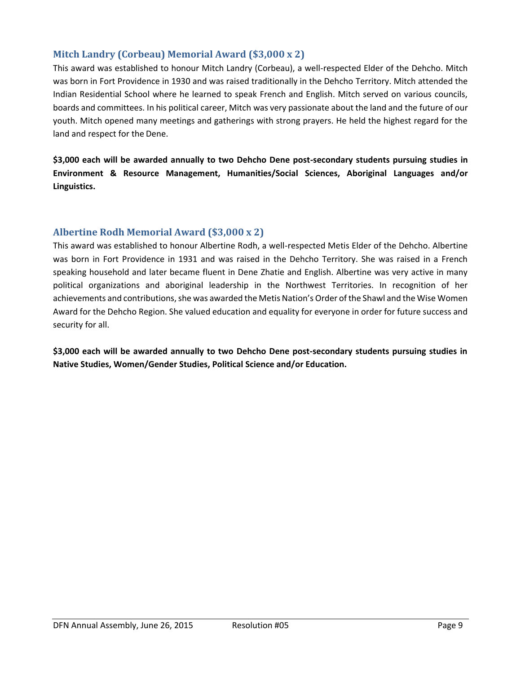#### <span id="page-8-0"></span>**Mitch Landry (Corbeau) Memorial Award (\$3,000 x 2)**

This award was established to honour Mitch Landry (Corbeau), a well-respected Elder of the Dehcho. Mitch was born in Fort Providence in 1930 and was raised traditionally in the Dehcho Territory. Mitch attended the Indian Residential School where he learned to speak French and English. Mitch served on various councils, boards and committees. In his political career, Mitch was very passionate about the land and the future of our youth. Mitch opened many meetings and gatherings with strong prayers. He held the highest regard for the land and respect for the Dene.

**\$3,000 each will be awarded annually to two Dehcho Dene post-secondary students pursuing studies in Environment & Resource Management, Humanities/Social Sciences, Aboriginal Languages and/or Linguistics.**

#### <span id="page-8-1"></span>**Albertine Rodh Memorial Award (\$3,000 x 2)**

This award was established to honour Albertine Rodh, a well-respected Metis Elder of the Dehcho. Albertine was born in Fort Providence in 1931 and was raised in the Dehcho Territory. She was raised in a French speaking household and later became fluent in Dene Zhatie and English. Albertine was very active in many political organizations and aboriginal leadership in the Northwest Territories. In recognition of her achievements and contributions, she was awarded the Metis Nation's Order of the Shawl and the Wise Women Award for the Dehcho Region. She valued education and equality for everyone in order for future success and security for all.

**\$3,000 each will be awarded annually to two Dehcho Dene post-secondary students pursuing studies in Native Studies, Women/Gender Studies, Political Science and/or Education.**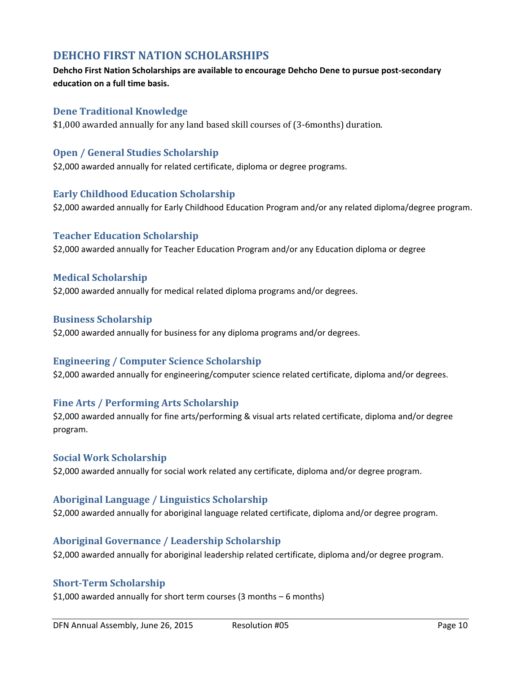## <span id="page-9-0"></span>**DEHCHO FIRST NATION SCHOLARSHIPS**

#### **Dehcho First Nation Scholarships are available to encourage Dehcho Dene to pursue post-secondary education on a full time basis.**

#### <span id="page-9-1"></span>**Dene Traditional Knowledge**

\$1,000 awarded annually for any land based skill courses of (3-6months) duration.

#### <span id="page-9-2"></span>**Open / General Studies Scholarship**

\$2,000 awarded annually for related certificate, diploma or degree programs.

#### <span id="page-9-3"></span>**Early Childhood Education Scholarship**

\$2,000 awarded annually for Early Childhood Education Program and/or any related diploma/degree program.

#### <span id="page-9-4"></span>**Teacher Education Scholarship**

\$2,000 awarded annually for Teacher Education Program and/or any Education diploma or degree

#### <span id="page-9-5"></span>**Medical Scholarship**

\$2,000 awarded annually for medical related diploma programs and/or degrees.

#### <span id="page-9-6"></span>**Business Scholarship**

\$2,000 awarded annually for business for any diploma programs and/or degrees.

#### <span id="page-9-7"></span>**Engineering / Computer Science Scholarship**

\$2,000 awarded annually for engineering/computer science related certificate, diploma and/or degrees.

#### <span id="page-9-8"></span>**Fine Arts / Performing Arts Scholarship**

\$2,000 awarded annually for fine arts/performing & visual arts related certificate, diploma and/or degree program.

#### <span id="page-9-9"></span>**Social Work Scholarship**

\$2,000 awarded annually for social work related any certificate, diploma and/or degree program.

#### <span id="page-9-10"></span>**Aboriginal Language / Linguistics Scholarship**

\$2,000 awarded annually for aboriginal language related certificate, diploma and/or degree program.

#### <span id="page-9-11"></span>**Aboriginal Governance / Leadership Scholarship**

\$2,000 awarded annually for aboriginal leadership related certificate, diploma and/or degree program.

#### <span id="page-9-12"></span>**Short-Term Scholarship**

\$1,000 awarded annually for short term courses (3 months – 6 months)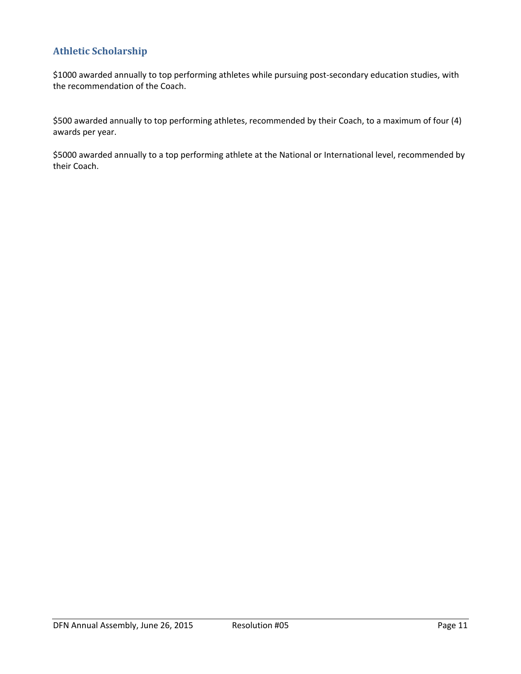## **Athletic Scholarship**

\$1000 awarded annually to top performing athletes while pursuing post-secondary education studies, with the recommendation of the Coach.

\$500 awarded annually to top performing athletes, recommended by their Coach, to a maximum of four (4) awards per year.

\$5000 awarded annually to a top performing athlete at the National or International level, recommended by their Coach.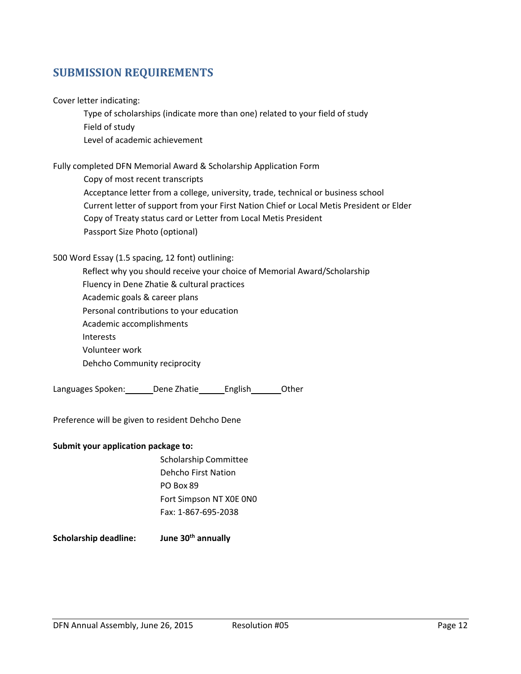## <span id="page-11-0"></span>**SUBMISSION REQUIREMENTS**

Cover letter indicating:

Type of scholarships (indicate more than one) related to your field of study Field of study Level of academic achievement

Fully completed DFN Memorial Award & Scholarship Application Form

Copy of most recent transcripts Acceptance letter from a college, university, trade, technical or business school Current letter of support from your First Nation Chief or Local Metis President or Elder Copy of Treaty status card or Letter from Local Metis President Passport Size Photo (optional)

#### 500 Word Essay (1.5 spacing, 12 font) outlining:

Reflect why you should receive your choice of Memorial Award/Scholarship Fluency in Dene Zhatie & cultural practices Academic goals & career plans Personal contributions to your education Academic accomplishments Interests Volunteer work Dehcho Community reciprocity

Languages Spoken: Dene Zhatie English Other

Preference will be given to resident Dehcho Dene

#### **Submit your application package to:**

Scholarship Committee Dehcho First Nation PO Box 89 Fort Simpson NT X0E 0N0 Fax: 1-867-695-2038

**Scholarship deadline: June 30th annually**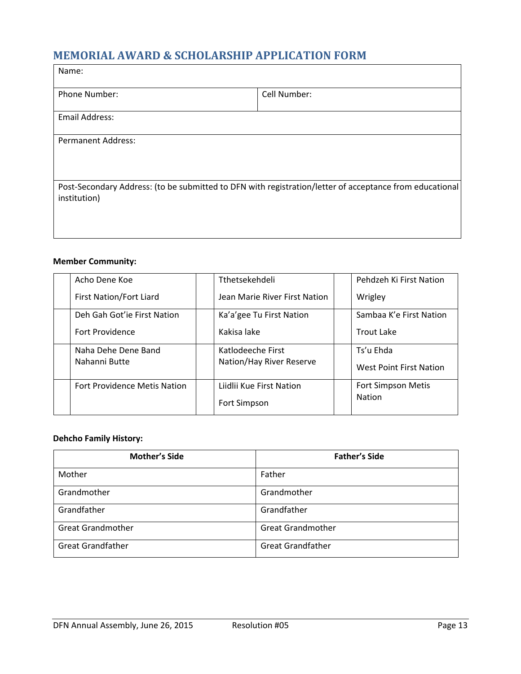## <span id="page-12-0"></span>**MEMORIAL AWARD & SCHOLARSHIP APPLICATION FORM**

| Name:                                                                                                                   |              |  |  |  |
|-------------------------------------------------------------------------------------------------------------------------|--------------|--|--|--|
| <b>Phone Number:</b>                                                                                                    | Cell Number: |  |  |  |
| Email Address:                                                                                                          |              |  |  |  |
| <b>Permanent Address:</b>                                                                                               |              |  |  |  |
| Post-Secondary Address: (to be submitted to DFN with registration/letter of acceptance from educational<br>institution) |              |  |  |  |

#### **Member Community:**

| Acho Dene Koe                       | Tthetsekehdeli                | Pehdzeh Ki First Nation        |
|-------------------------------------|-------------------------------|--------------------------------|
| <b>First Nation/Fort Liard</b>      | Jean Marie River First Nation | Wrigley                        |
| Deh Gah Got'ie First Nation         | Ka'a'gee Tu First Nation      | Sambaa K'e First Nation        |
| Fort Providence                     | Kakisa lake                   | Trout Lake                     |
| Naha Dehe Dene Band                 | Katlodeeche First             | Ts'u Ehda                      |
| Nahanni Butte                       | Nation/Hay River Reserve      | <b>West Point First Nation</b> |
| <b>Fort Providence Metis Nation</b> | Liidlii Kue First Nation      | <b>Fort Simpson Metis</b>      |
|                                     | Fort Simpson                  | <b>Nation</b>                  |

#### **Dehcho Family History:**

| <b>Mother's Side</b>     | <b>Father's Side</b>     |  |
|--------------------------|--------------------------|--|
| Mother                   | Father                   |  |
| Grandmother              | Grandmother              |  |
| Grandfather              | Grandfather              |  |
| <b>Great Grandmother</b> | <b>Great Grandmother</b> |  |
| <b>Great Grandfather</b> | <b>Great Grandfather</b> |  |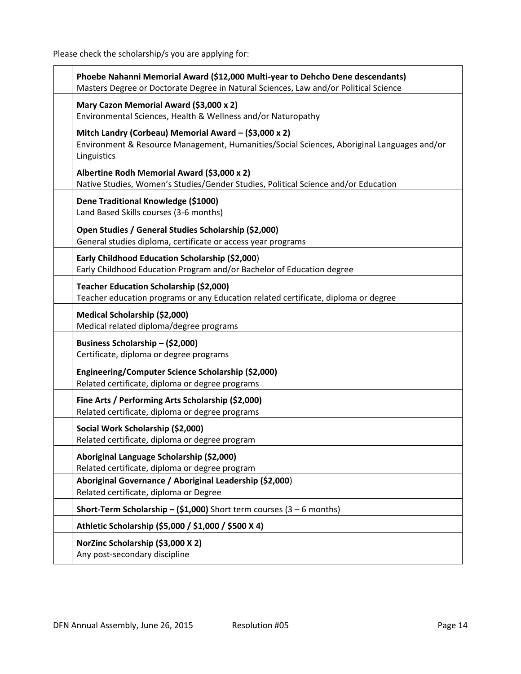Please check the scholarship/s you are applying for:

| Phoebe Nahanni Memorial Award (\$12,000 Multi-year to Dehcho Dene descendants)<br>Masters Degree or Doctorate Degree in Natural Sciences, Law and/or Political Science |
|------------------------------------------------------------------------------------------------------------------------------------------------------------------------|
| Mary Cazon Memorial Award (\$3,000 x 2)<br>Environmental Sciences, Health & Wellness and/or Naturopathy                                                                |
| Mitch Landry (Corbeau) Memorial Award - (\$3,000 x 2)<br>Environment & Resource Management, Humanities/Social Sciences, Aboriginal Languages and/or<br>Linguistics     |
| Albertine Rodh Memorial Award (\$3,000 x 2)<br>Native Studies, Women's Studies/Gender Studies, Political Science and/or Education                                      |
| Dene Traditional Knowledge (\$1000)<br>Land Based Skills courses (3-6 months)                                                                                          |
| Open Studies / General Studies Scholarship (\$2,000)<br>General studies diploma, certificate or access year programs                                                   |
| Early Childhood Education Scholarship (\$2,000)<br>Early Childhood Education Program and/or Bachelor of Education degree                                               |
| Teacher Education Scholarship (\$2,000)<br>Teacher education programs or any Education related certificate, diploma or degree                                          |
| Medical Scholarship (\$2,000)<br>Medical related diploma/degree programs                                                                                               |
| Business Scholarship - (\$2,000)<br>Certificate, diploma or degree programs                                                                                            |
| Engineering/Computer Science Scholarship (\$2,000)<br>Related certificate, diploma or degree programs                                                                  |
| Fine Arts / Performing Arts Scholarship (\$2,000)<br>Related certificate, diploma or degree programs                                                                   |
| Social Work Scholarship (\$2,000)<br>Related certificate, diploma or degree program                                                                                    |
| Aboriginal Language Scholarship (\$2,000)<br>Related certificate, diploma or degree program                                                                            |
| Aboriginal Governance / Aboriginal Leadership (\$2,000)<br>Related certificate, diploma or Degree                                                                      |
| <b>Short-Term Scholarship - (\$1,000)</b> Short term courses (3 - 6 months)                                                                                            |
| Athletic Scholarship (\$5,000 / \$1,000 / \$500 X 4)                                                                                                                   |
| NorZinc Scholarship (\$3,000 X 2)<br>Any post-secondary discipline                                                                                                     |